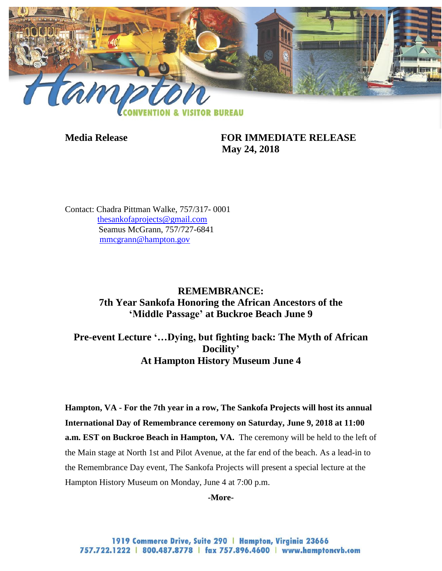

**Media Release FOR IMMEDIATE RELEASE May 24, 2018**

Contact: Chadra Pittman Walke, 757/317- 0001 [thesankofaprojects@gmail.com](mailto:thesankofaprojects@gmail.com) Seamus McGrann, 757/727-6841 [mmcgrann@hampton.gov](mailto:mmcgrann@hampton.gov)

## **REMEMBRANCE: 7th Year Sankofa Honoring the African Ancestors of the 'Middle Passage' at Buckroe Beach June 9**

**Pre-event Lecture '…Dying, but fighting back: The Myth of African Docility' At Hampton History Museum June 4**

**Hampton, VA - For the 7th year in a row, The Sankofa Projects will host its annual International Day of Remembrance ceremony on Saturday, June 9, 2018 at 11:00 a.m. EST on Buckroe Beach in Hampton, VA.** The ceremony will be held to the left of the Main stage at North 1st and Pilot Avenue, at the far end of the beach. As a lead-in to the Remembrance Day event, The Sankofa Projects will present a special lecture at the Hampton History Museum on Monday, June 4 at 7:00 p.m.

**-More-**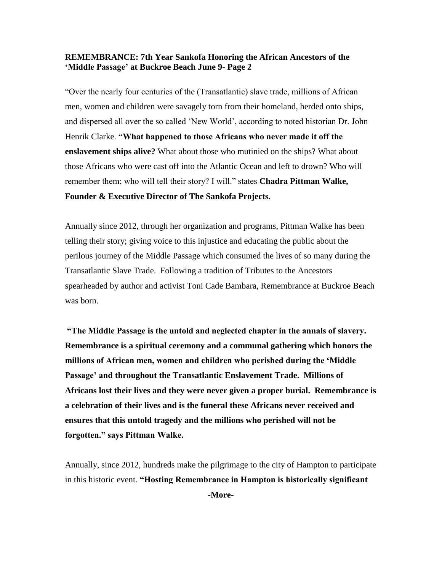"Over the nearly four centuries of the (Transatlantic) slave trade, millions of African men, women and children were savagely torn from their homeland, herded onto ships, and dispersed all over the so called 'New World', according to noted historian Dr. John Henrik Clarke. **"What happened to those Africans who never made it off the enslavement ships alive?** What about those who mutinied on the ships? What about those Africans who were cast off into the Atlantic Ocean and left to drown? Who will remember them; who will tell their story? I will." states **Chadra Pittman Walke, Founder & Executive Director of The Sankofa Projects.** 

Annually since 2012, through her organization and programs, Pittman Walke has been telling their story; giving voice to this injustice and educating the public about the perilous journey of the Middle Passage which consumed the lives of so many during the Transatlantic Slave Trade. Following a tradition of Tributes to the Ancestors spearheaded by author and activist Toni Cade Bambara, Remembrance at Buckroe Beach was born.

**"The Middle Passage is the untold and neglected chapter in the annals of slavery. Remembrance is a spiritual ceremony and a communal gathering which honors the millions of African men, women and children who perished during the 'Middle Passage' and throughout the Transatlantic Enslavement Trade. Millions of Africans lost their lives and they were never given a proper burial. Remembrance is a celebration of their lives and is the funeral these Africans never received and ensures that this untold tragedy and the millions who perished will not be forgotten." says Pittman Walke.** 

Annually, since 2012, hundreds make the pilgrimage to the city of Hampton to participate in this historic event. **"Hosting Remembrance in Hampton is historically significant** 

**-More-**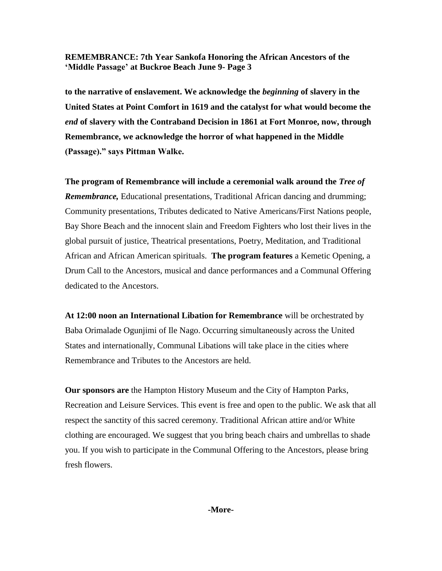**to the narrative of enslavement. We acknowledge the** *beginning* **of slavery in the United States at Point Comfort in 1619 and the catalyst for what would become the**  *end* **of slavery with the Contraband Decision in 1861 at Fort Monroe, now, through Remembrance, we acknowledge the horror of what happened in the Middle (Passage)." says Pittman Walke.**

**The program of Remembrance will include a ceremonial walk around the** *Tree of Remembrance,* Educational presentations, Traditional African dancing and drumming; Community presentations, Tributes dedicated to Native Americans/First Nations people, Bay Shore Beach and the innocent slain and Freedom Fighters who lost their lives in the global pursuit of justice, Theatrical presentations, Poetry, Meditation, and Traditional African and African American spirituals. **The program features** a Kemetic Opening, a Drum Call to the Ancestors, musical and dance performances and a Communal Offering dedicated to the Ancestors.

**At 12:00 noon an International Libation for Remembrance** will be orchestrated by Baba Orimalade Ogunjimi of Ile Nago. Occurring simultaneously across the United States and internationally, Communal Libations will take place in the cities where Remembrance and Tributes to the Ancestors are held.

**Our sponsors are** the Hampton History Museum and the City of Hampton Parks, Recreation and Leisure Services. This event is free and open to the public. We ask that all respect the sanctity of this sacred ceremony. Traditional African attire and/or White clothing are encouraged. We suggest that you bring beach chairs and umbrellas to shade you. If you wish to participate in the Communal Offering to the Ancestors, please bring fresh flowers.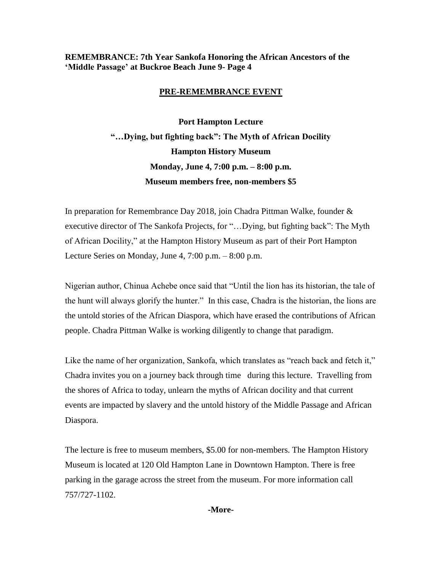## **PRE-REMEMBRANCE EVENT**

**Port Hampton Lecture "…Dying, but fighting back": The Myth of African Docility Hampton History Museum Monday, June 4, 7:00 p.m. – 8:00 p.m. Museum members free, non-members \$5**

In preparation for Remembrance Day 2018, join Chadra Pittman Walke, founder & executive director of The Sankofa Projects, for "…Dying, but fighting back": The Myth of African Docility," at the Hampton History Museum as part of their Port Hampton Lecture Series on Monday, June 4, 7:00 p.m. – 8:00 p.m.

Nigerian author, Chinua Achebe once said that "Until the lion has its historian, the tale of the hunt will always glorify the hunter." In this case, Chadra is the historian, the lions are the untold stories of the African Diaspora, which have erased the contributions of African people. Chadra Pittman Walke is working diligently to change that paradigm.

Like the name of her organization, Sankofa, which translates as "reach back and fetch it," Chadra invites you on a journey back through time during this lecture. Travelling from the shores of Africa to today, unlearn the myths of African docility and that current events are impacted by slavery and the untold history of the Middle Passage and African Diaspora.

The lecture is free to museum members, \$5.00 for non-members. The Hampton History Museum is located at 120 Old Hampton Lane in Downtown Hampton. There is free parking in the garage across the street from the museum. For more information call 757/727-1102.

**-More-**